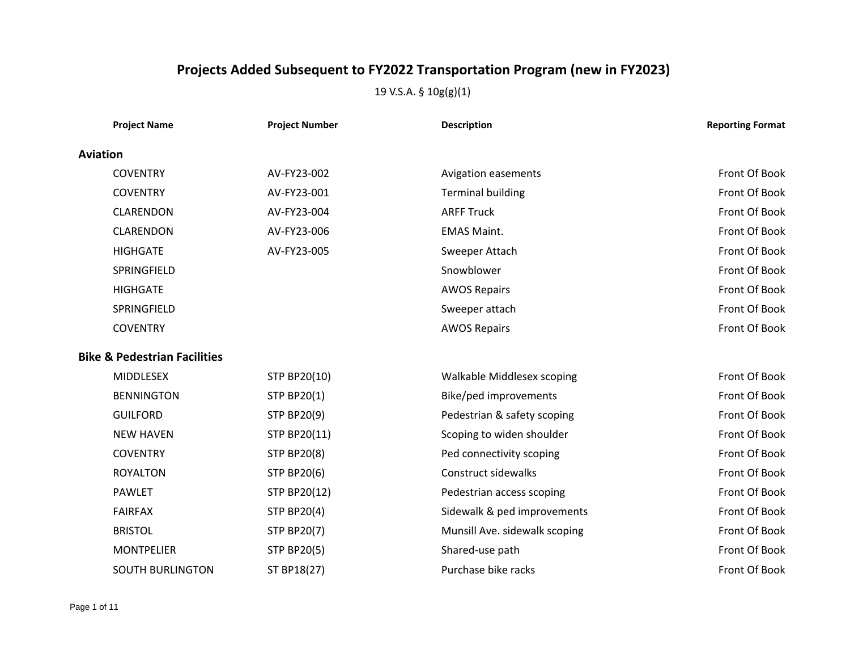| <b>Project Name</b>                     | <b>Project Number</b> | <b>Description</b>            | <b>Reporting Format</b> |
|-----------------------------------------|-----------------------|-------------------------------|-------------------------|
| <b>Aviation</b>                         |                       |                               |                         |
| <b>COVENTRY</b>                         | AV-FY23-002           | <b>Avigation easements</b>    | Front Of Book           |
| <b>COVENTRY</b>                         | AV-FY23-001           | <b>Terminal building</b>      | Front Of Book           |
| <b>CLARENDON</b>                        | AV-FY23-004           | <b>ARFF Truck</b>             | Front Of Book           |
| <b>CLARENDON</b>                        | AV-FY23-006           | <b>EMAS Maint.</b>            | Front Of Book           |
| <b>HIGHGATE</b>                         | AV-FY23-005           | Sweeper Attach                | Front Of Book           |
| SPRINGFIELD                             |                       | Snowblower                    | Front Of Book           |
| <b>HIGHGATE</b>                         |                       | <b>AWOS Repairs</b>           | Front Of Book           |
| SPRINGFIELD                             |                       | Sweeper attach                | Front Of Book           |
| <b>COVENTRY</b>                         |                       | <b>AWOS Repairs</b>           | Front Of Book           |
| <b>Bike &amp; Pedestrian Facilities</b> |                       |                               |                         |
| <b>MIDDLESEX</b>                        | STP BP20(10)          | Walkable Middlesex scoping    | Front Of Book           |
| <b>BENNINGTON</b>                       | <b>STP BP20(1)</b>    | Bike/ped improvements         | Front Of Book           |
| <b>GUILFORD</b>                         | <b>STP BP20(9)</b>    | Pedestrian & safety scoping   | Front Of Book           |
| <b>NEW HAVEN</b>                        | STP BP20(11)          | Scoping to widen shoulder     | Front Of Book           |
| <b>COVENTRY</b>                         | <b>STP BP20(8)</b>    | Ped connectivity scoping      | Front Of Book           |
| <b>ROYALTON</b>                         | <b>STP BP20(6)</b>    | Construct sidewalks           | Front Of Book           |
| <b>PAWLET</b>                           | <b>STP BP20(12)</b>   | Pedestrian access scoping     | Front Of Book           |
| <b>FAIRFAX</b>                          | <b>STP BP20(4)</b>    | Sidewalk & ped improvements   | Front Of Book           |
| <b>BRISTOL</b>                          | <b>STP BP20(7)</b>    | Munsill Ave. sidewalk scoping | Front Of Book           |
| <b>MONTPELIER</b>                       | <b>STP BP20(5)</b>    | Shared-use path               | Front Of Book           |
| <b>SOUTH BURLINGTON</b>                 | ST BP18(27)           | Purchase bike racks           | Front Of Book           |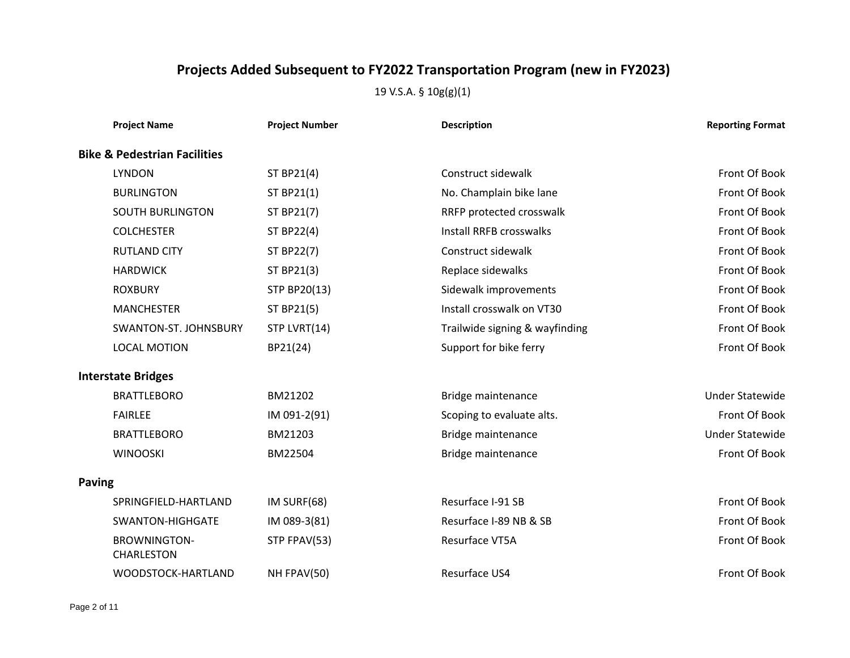| <b>Project Name</b>                      | <b>Project Number</b> | <b>Description</b>             | <b>Reporting Format</b> |
|------------------------------------------|-----------------------|--------------------------------|-------------------------|
| <b>Bike &amp; Pedestrian Facilities</b>  |                       |                                |                         |
| <b>LYNDON</b>                            | ST BP21(4)            | Construct sidewalk             | Front Of Book           |
| <b>BURLINGTON</b>                        | ST BP21(1)            | No. Champlain bike lane        | Front Of Book           |
| <b>SOUTH BURLINGTON</b>                  | ST BP21(7)            | RRFP protected crosswalk       | Front Of Book           |
| <b>COLCHESTER</b>                        | <b>ST BP22(4)</b>     | <b>Install RRFB crosswalks</b> | Front Of Book           |
| <b>RUTLAND CITY</b>                      | ST BP22(7)            | Construct sidewalk             | Front Of Book           |
| <b>HARDWICK</b>                          | ST BP21(3)            | Replace sidewalks              | Front Of Book           |
| <b>ROXBURY</b>                           | STP BP20(13)          | Sidewalk improvements          | Front Of Book           |
| <b>MANCHESTER</b>                        | ST BP21(5)            | Install crosswalk on VT30      | Front Of Book           |
| SWANTON-ST. JOHNSBURY                    | STP LVRT(14)          | Trailwide signing & wayfinding | Front Of Book           |
| <b>LOCAL MOTION</b>                      | BP21(24)              | Support for bike ferry         | Front Of Book           |
| <b>Interstate Bridges</b>                |                       |                                |                         |
| <b>BRATTLEBORO</b>                       | BM21202               | Bridge maintenance             | <b>Under Statewide</b>  |
| <b>FAIRLEE</b>                           | IM 091-2(91)          | Scoping to evaluate alts.      | Front Of Book           |
| <b>BRATTLEBORO</b>                       | BM21203               | Bridge maintenance             | <b>Under Statewide</b>  |
| <b>WINOOSKI</b>                          | BM22504               | Bridge maintenance             | Front Of Book           |
| <b>Paving</b>                            |                       |                                |                         |
| SPRINGFIELD-HARTLAND                     | IM SURF(68)           | Resurface I-91 SB              | Front Of Book           |
| <b>SWANTON-HIGHGATE</b>                  | IM 089-3(81)          | Resurface I-89 NB & SB         | Front Of Book           |
| <b>BROWNINGTON-</b><br><b>CHARLESTON</b> | STP FPAV(53)          | Resurface VT5A                 | Front Of Book           |
| WOODSTOCK-HARTLAND                       | NH FPAV(50)           | Resurface US4                  | Front Of Book           |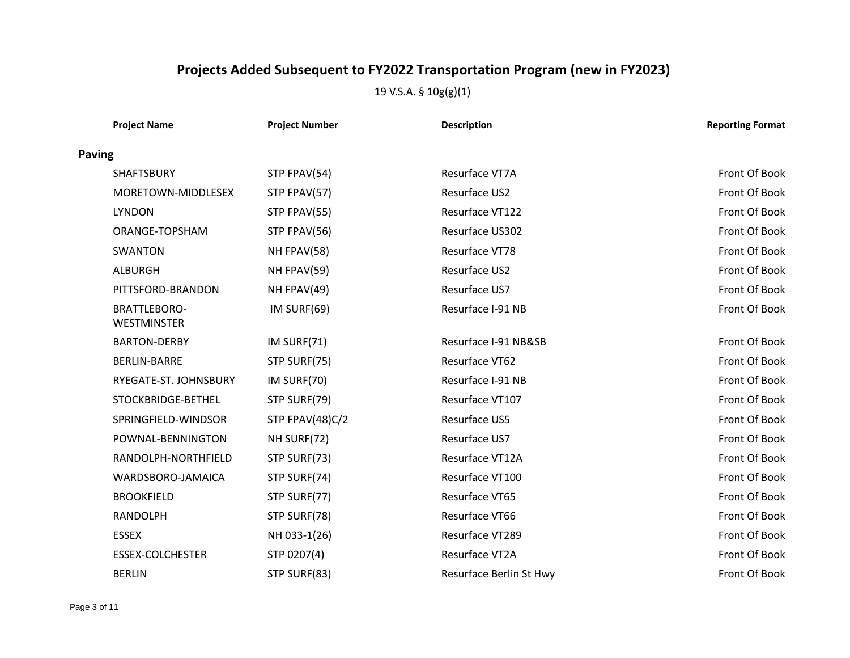|               | <b>Project Name</b>                       | <b>Project Number</b> | <b>Description</b>      | <b>Reporting Format</b> |
|---------------|-------------------------------------------|-----------------------|-------------------------|-------------------------|
| <b>Paving</b> |                                           |                       |                         |                         |
|               | <b>SHAFTSBURY</b>                         | STP FPAV(54)          | Resurface VT7A          | Front Of Book           |
|               | MORETOWN-MIDDLESEX                        | STP FPAV(57)          | Resurface US2           | Front Of Book           |
|               | <b>LYNDON</b>                             | STP FPAV(55)          | Resurface VT122         | Front Of Book           |
|               | ORANGE-TOPSHAM                            | STP FPAV(56)          | Resurface US302         | Front Of Book           |
|               | SWANTON                                   | NH FPAV(58)           | Resurface VT78          | Front Of Book           |
|               | <b>ALBURGH</b>                            | NH FPAV(59)           | Resurface US2           | Front Of Book           |
|               | PITTSFORD-BRANDON                         | NH FPAV(49)           | Resurface US7           | Front Of Book           |
|               | <b>BRATTLEBORO-</b><br><b>WESTMINSTER</b> | IM SURF(69)           | Resurface I-91 NB       | Front Of Book           |
|               | <b>BARTON-DERBY</b>                       | IM SURF(71)           | Resurface I-91 NB&SB    | Front Of Book           |
|               | <b>BERLIN-BARRE</b>                       | STP SURF(75)          | Resurface VT62          | Front Of Book           |
|               | RYEGATE-ST. JOHNSBURY                     | IM SURF(70)           | Resurface I-91 NB       | Front Of Book           |
|               | STOCKBRIDGE-BETHEL                        | STP SURF(79)          | Resurface VT107         | Front Of Book           |
|               | SPRINGFIELD-WINDSOR                       | STP FPAV(48)C/2       | Resurface US5           | Front Of Book           |
|               | POWNAL-BENNINGTON                         | NH SURF(72)           | Resurface US7           | Front Of Book           |
|               | RANDOLPH-NORTHFIELD                       | STP SURF(73)          | Resurface VT12A         | Front Of Book           |
|               | WARDSBORO-JAMAICA                         | STP SURF(74)          | Resurface VT100         | Front Of Book           |
|               | <b>BROOKFIELD</b>                         | STP SURF(77)          | Resurface VT65          | Front Of Book           |
|               | <b>RANDOLPH</b>                           | STP SURF(78)          | Resurface VT66          | Front Of Book           |
|               | <b>ESSEX</b>                              | NH 033-1(26)          | Resurface VT289         | Front Of Book           |
|               | <b>ESSEX-COLCHESTER</b>                   | STP 0207(4)           | Resurface VT2A          | Front Of Book           |
|               | <b>BERLIN</b>                             | STP SURF(83)          | Resurface Berlin St Hwy | Front Of Book           |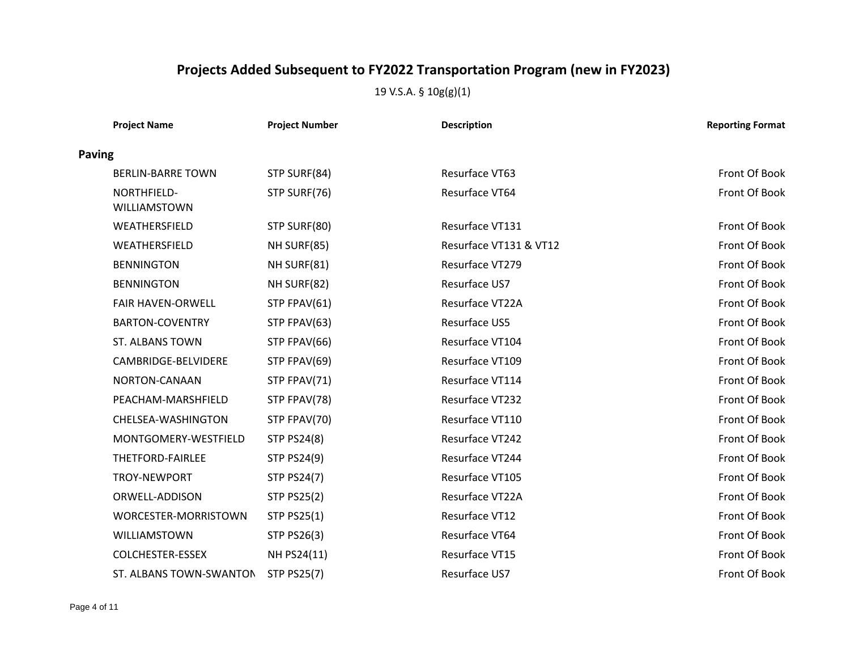|               | <b>Project Name</b>         | <b>Project Number</b> | <b>Description</b>     | <b>Reporting Format</b> |
|---------------|-----------------------------|-----------------------|------------------------|-------------------------|
| <b>Paving</b> |                             |                       |                        |                         |
|               | <b>BERLIN-BARRE TOWN</b>    | STP SURF(84)          | Resurface VT63         | Front Of Book           |
|               | NORTHFIELD-<br>WILLIAMSTOWN | STP SURF(76)          | Resurface VT64         | Front Of Book           |
|               | WEATHERSFIELD               | STP SURF(80)          | Resurface VT131        | Front Of Book           |
|               | WEATHERSFIELD               | NH SURF(85)           | Resurface VT131 & VT12 | Front Of Book           |
|               | <b>BENNINGTON</b>           | NH SURF(81)           | Resurface VT279        | Front Of Book           |
|               | <b>BENNINGTON</b>           | NH SURF(82)           | Resurface US7          | Front Of Book           |
|               | <b>FAIR HAVEN-ORWELL</b>    | STP FPAV(61)          | Resurface VT22A        | Front Of Book           |
|               | <b>BARTON-COVENTRY</b>      | STP FPAV(63)          | Resurface US5          | Front Of Book           |
|               | <b>ST. ALBANS TOWN</b>      | STP FPAV(66)          | Resurface VT104        | Front Of Book           |
|               | CAMBRIDGE-BELVIDERE         | STP FPAV(69)          | Resurface VT109        | Front Of Book           |
|               | NORTON-CANAAN               | STP FPAV(71)          | Resurface VT114        | Front Of Book           |
|               | PEACHAM-MARSHFIELD          | STP FPAV(78)          | Resurface VT232        | Front Of Book           |
|               | CHELSEA-WASHINGTON          | STP FPAV(70)          | Resurface VT110        | Front Of Book           |
|               | MONTGOMERY-WESTFIELD        | <b>STP PS24(8)</b>    | Resurface VT242        | Front Of Book           |
|               | THETFORD-FAIRLEE            | <b>STP PS24(9)</b>    | Resurface VT244        | Front Of Book           |
|               | TROY-NEWPORT                | <b>STP PS24(7)</b>    | Resurface VT105        | Front Of Book           |
|               | ORWELL-ADDISON              | <b>STP PS25(2)</b>    | Resurface VT22A        | Front Of Book           |
|               | WORCESTER-MORRISTOWN        | <b>STP PS25(1)</b>    | Resurface VT12         | Front Of Book           |
|               | WILLIAMSTOWN                | <b>STP PS26(3)</b>    | Resurface VT64         | Front Of Book           |
|               | <b>COLCHESTER-ESSEX</b>     | NH PS24(11)           | Resurface VT15         | Front Of Book           |
|               | ST. ALBANS TOWN-SWANTON     | <b>STP PS25(7)</b>    | Resurface US7          | Front Of Book           |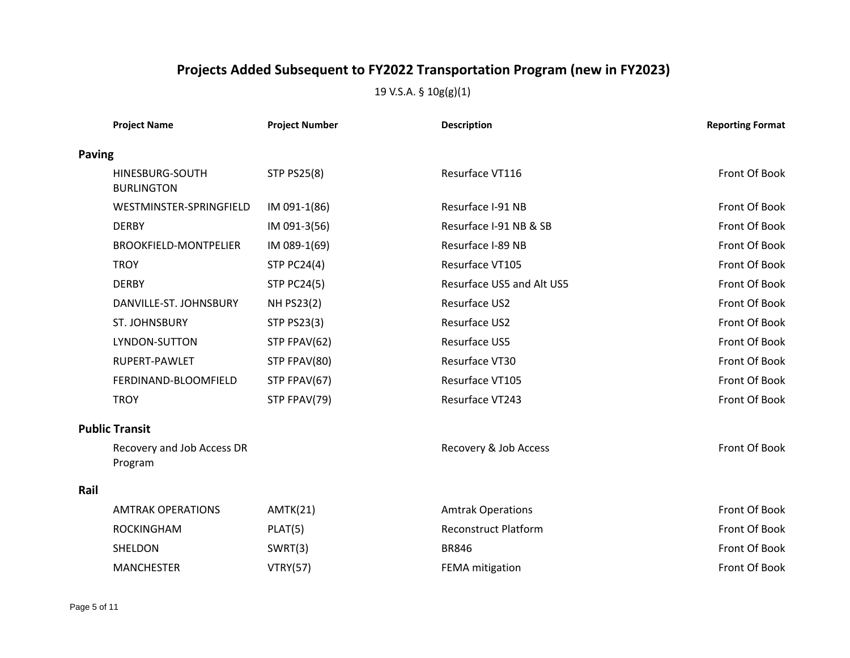|               | <b>Project Name</b>                   | <b>Project Number</b> | <b>Description</b>          | <b>Reporting Format</b> |
|---------------|---------------------------------------|-----------------------|-----------------------------|-------------------------|
| <b>Paving</b> |                                       |                       |                             |                         |
|               | HINESBURG-SOUTH<br><b>BURLINGTON</b>  | <b>STP PS25(8)</b>    | Resurface VT116             | Front Of Book           |
|               | WESTMINSTER-SPRINGFIELD               | IM 091-1(86)          | Resurface I-91 NB           | Front Of Book           |
|               | <b>DERBY</b>                          | IM 091-3(56)          | Resurface I-91 NB & SB      | Front Of Book           |
|               | <b>BROOKFIELD-MONTPELIER</b>          | IM 089-1(69)          | Resurface I-89 NB           | Front Of Book           |
|               | <b>TROY</b>                           | <b>STP PC24(4)</b>    | Resurface VT105             | Front Of Book           |
|               | <b>DERBY</b>                          | <b>STP PC24(5)</b>    | Resurface US5 and Alt US5   | Front Of Book           |
|               | DANVILLE-ST. JOHNSBURY                | <b>NH PS23(2)</b>     | Resurface US2               | Front Of Book           |
|               | ST. JOHNSBURY                         | <b>STP PS23(3)</b>    | Resurface US2               | Front Of Book           |
|               | LYNDON-SUTTON                         | STP FPAV(62)          | Resurface US5               | Front Of Book           |
|               | RUPERT-PAWLET                         | STP FPAV(80)          | Resurface VT30              | Front Of Book           |
|               | FERDINAND-BLOOMFIELD                  | STP FPAV(67)          | Resurface VT105             | Front Of Book           |
|               | <b>TROY</b>                           | STP FPAV(79)          | Resurface VT243             | Front Of Book           |
|               | <b>Public Transit</b>                 |                       |                             |                         |
|               | Recovery and Job Access DR<br>Program |                       | Recovery & Job Access       | Front Of Book           |
| Rail          |                                       |                       |                             |                         |
|               | <b>AMTRAK OPERATIONS</b>              | AMTK(21)              | <b>Amtrak Operations</b>    | Front Of Book           |
|               | <b>ROCKINGHAM</b>                     | PLAT(5)               | <b>Reconstruct Platform</b> | Front Of Book           |
|               | SHELDON                               | SWRT(3)               | <b>BR846</b>                | Front Of Book           |
|               | <b>MANCHESTER</b>                     | <b>VTRY(57)</b>       | FEMA mitigation             | Front Of Book           |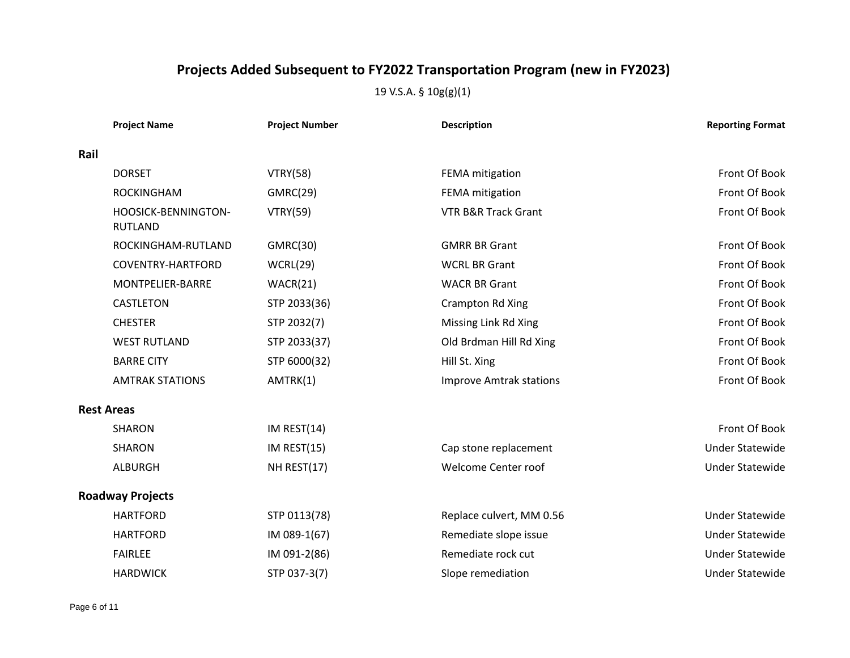|      | <b>Project Name</b>                   | <b>Project Number</b> | <b>Description</b>             | <b>Reporting Format</b> |
|------|---------------------------------------|-----------------------|--------------------------------|-------------------------|
| Rail |                                       |                       |                                |                         |
|      | <b>DORSET</b>                         | <b>VTRY(58)</b>       | FEMA mitigation                | Front Of Book           |
|      | <b>ROCKINGHAM</b>                     | GMRC(29)              | FEMA mitigation                | Front Of Book           |
|      | HOOSICK-BENNINGTON-<br><b>RUTLAND</b> | <b>VTRY(59)</b>       | VTR B&R Track Grant            | Front Of Book           |
|      | ROCKINGHAM-RUTLAND                    | GMRC(30)              | <b>GMRR BR Grant</b>           | Front Of Book           |
|      | <b>COVENTRY-HARTFORD</b>              | WCRL(29)              | <b>WCRL BR Grant</b>           | Front Of Book           |
|      | MONTPELIER-BARRE                      | WACR(21)              | <b>WACR BR Grant</b>           | Front Of Book           |
|      | <b>CASTLETON</b>                      | STP 2033(36)          | Crampton Rd Xing               | Front Of Book           |
|      | <b>CHESTER</b>                        | STP 2032(7)           | Missing Link Rd Xing           | Front Of Book           |
|      | <b>WEST RUTLAND</b>                   | STP 2033(37)          | Old Brdman Hill Rd Xing        | Front Of Book           |
|      | <b>BARRE CITY</b>                     | STP 6000(32)          | Hill St. Xing                  | Front Of Book           |
|      | <b>AMTRAK STATIONS</b>                | AMTRK(1)              | <b>Improve Amtrak stations</b> | Front Of Book           |
|      | <b>Rest Areas</b>                     |                       |                                |                         |
|      | <b>SHARON</b>                         | IM REST(14)           |                                | Front Of Book           |
|      | <b>SHARON</b>                         | IM REST(15)           | Cap stone replacement          | <b>Under Statewide</b>  |
|      | <b>ALBURGH</b>                        | NH REST(17)           | Welcome Center roof            | <b>Under Statewide</b>  |
|      | <b>Roadway Projects</b>               |                       |                                |                         |
|      | <b>HARTFORD</b>                       | STP 0113(78)          | Replace culvert, MM 0.56       | <b>Under Statewide</b>  |
|      | <b>HARTFORD</b>                       | IM 089-1(67)          | Remediate slope issue          | <b>Under Statewide</b>  |
|      | <b>FAIRLEE</b>                        | IM 091-2(86)          | Remediate rock cut             | <b>Under Statewide</b>  |
|      | <b>HARDWICK</b>                       | STP 037-3(7)          | Slope remediation              | <b>Under Statewide</b>  |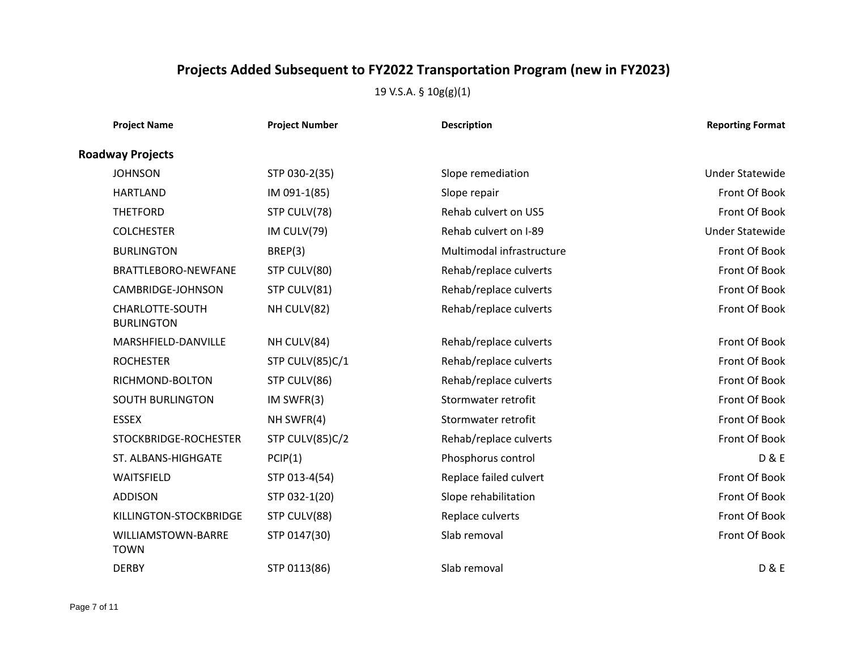| <b>Project Name</b>                  | <b>Project Number</b> | <b>Description</b>        | <b>Reporting Format</b> |
|--------------------------------------|-----------------------|---------------------------|-------------------------|
| <b>Roadway Projects</b>              |                       |                           |                         |
| <b>JOHNSON</b>                       | STP 030-2(35)         | Slope remediation         | <b>Under Statewide</b>  |
| <b>HARTLAND</b>                      | IM 091-1(85)          | Slope repair              | Front Of Book           |
| <b>THETFORD</b>                      | STP CULV(78)          | Rehab culvert on US5      | Front Of Book           |
| <b>COLCHESTER</b>                    | IM CULV(79)           | Rehab culvert on I-89     | <b>Under Statewide</b>  |
| <b>BURLINGTON</b>                    | BREP(3)               | Multimodal infrastructure | Front Of Book           |
| BRATTLEBORO-NEWFANE                  | STP CULV(80)          | Rehab/replace culverts    | Front Of Book           |
| CAMBRIDGE-JOHNSON                    | STP CULV(81)          | Rehab/replace culverts    | Front Of Book           |
| CHARLOTTE-SOUTH<br><b>BURLINGTON</b> | NH CULV(82)           | Rehab/replace culverts    | Front Of Book           |
| MARSHFIELD-DANVILLE                  | NH CULV(84)           | Rehab/replace culverts    | Front Of Book           |
| <b>ROCHESTER</b>                     | STP CULV(85)C/1       | Rehab/replace culverts    | Front Of Book           |
| RICHMOND-BOLTON                      | STP CULV(86)          | Rehab/replace culverts    | Front Of Book           |
| <b>SOUTH BURLINGTON</b>              | IM SWFR(3)            | Stormwater retrofit       | Front Of Book           |
| <b>ESSEX</b>                         | NH SWFR(4)            | Stormwater retrofit       | Front Of Book           |
| STOCKBRIDGE-ROCHESTER                | STP CULV(85)C/2       | Rehab/replace culverts    | Front Of Book           |
| ST. ALBANS-HIGHGATE                  | PCIP(1)               | Phosphorus control        | <b>D&amp;E</b>          |
| WAITSFIELD                           | STP 013-4(54)         | Replace failed culvert    | Front Of Book           |
| <b>ADDISON</b>                       | STP 032-1(20)         | Slope rehabilitation      | Front Of Book           |
| KILLINGTON-STOCKBRIDGE               | STP CULV(88)          | Replace culverts          | Front Of Book           |
| WILLIAMSTOWN-BARRE<br><b>TOWN</b>    | STP 0147(30)          | Slab removal              | Front Of Book           |
| <b>DERBY</b>                         | STP 0113(86)          | Slab removal              | <b>D &amp; E</b>        |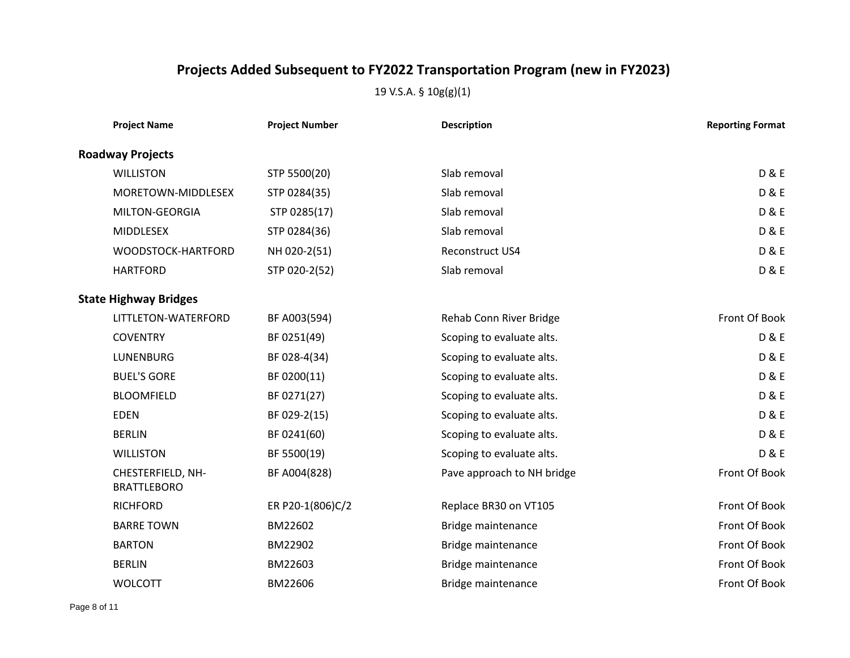| <b>Project Name</b>                     | <b>Project Number</b> | <b>Description</b>         | <b>Reporting Format</b> |
|-----------------------------------------|-----------------------|----------------------------|-------------------------|
| <b>Roadway Projects</b>                 |                       |                            |                         |
| <b>WILLISTON</b>                        | STP 5500(20)          | Slab removal               | <b>D&amp;E</b>          |
| MORETOWN-MIDDLESEX                      | STP 0284(35)          | Slab removal               | <b>D&amp;E</b>          |
| MILTON-GEORGIA                          | STP 0285(17)          | Slab removal               | <b>D&amp;E</b>          |
| <b>MIDDLESEX</b>                        | STP 0284(36)          | Slab removal               | <b>D&amp;E</b>          |
| WOODSTOCK-HARTFORD                      | NH 020-2(51)          | Reconstruct US4            | <b>D&amp;E</b>          |
| <b>HARTFORD</b>                         | STP 020-2(52)         | Slab removal               | <b>D&amp;E</b>          |
| <b>State Highway Bridges</b>            |                       |                            |                         |
| LITTLETON-WATERFORD                     | BF A003(594)          | Rehab Conn River Bridge    | Front Of Book           |
| <b>COVENTRY</b>                         | BF 0251(49)           | Scoping to evaluate alts.  | <b>D&amp;E</b>          |
| <b>LUNENBURG</b>                        | BF 028-4(34)          | Scoping to evaluate alts.  | <b>D&amp;E</b>          |
| <b>BUEL'S GORE</b>                      | BF 0200(11)           | Scoping to evaluate alts.  | <b>D&amp;E</b>          |
| <b>BLOOMFIELD</b>                       | BF 0271(27)           | Scoping to evaluate alts.  | <b>D&amp;E</b>          |
| <b>EDEN</b>                             | BF 029-2(15)          | Scoping to evaluate alts.  | <b>D&amp;E</b>          |
| <b>BERLIN</b>                           | BF 0241(60)           | Scoping to evaluate alts.  | <b>D&amp;E</b>          |
| <b>WILLISTON</b>                        | BF 5500(19)           | Scoping to evaluate alts.  | <b>D&amp;E</b>          |
| CHESTERFIELD, NH-<br><b>BRATTLEBORO</b> | BF A004(828)          | Pave approach to NH bridge | Front Of Book           |
| <b>RICHFORD</b>                         | ER P20-1(806)C/2      | Replace BR30 on VT105      | Front Of Book           |
| <b>BARRE TOWN</b>                       | BM22602               | Bridge maintenance         | Front Of Book           |
| <b>BARTON</b>                           | BM22902               | Bridge maintenance         | Front Of Book           |
| <b>BERLIN</b>                           | BM22603               | Bridge maintenance         | Front Of Book           |
| <b>WOLCOTT</b>                          | BM22606               | Bridge maintenance         | Front Of Book           |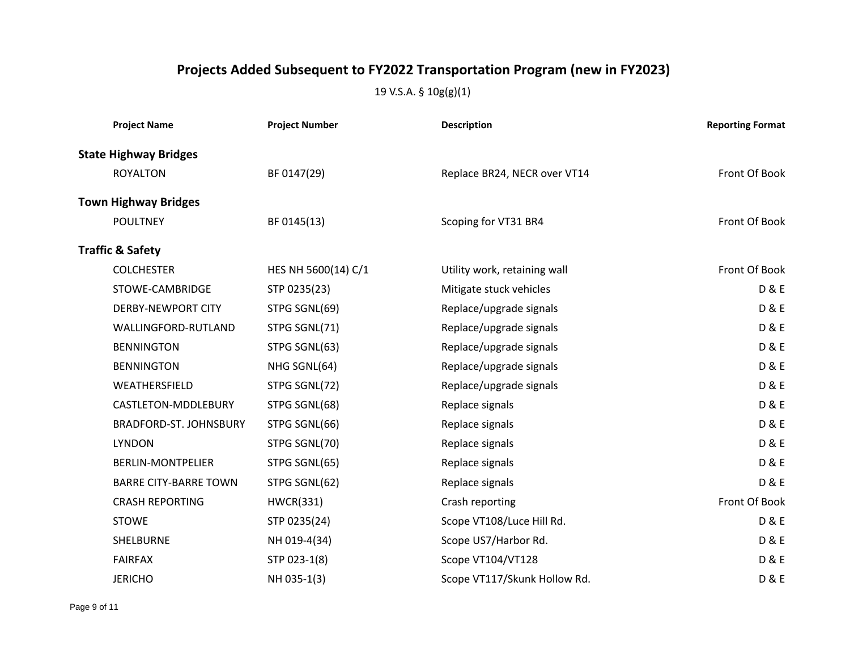| <b>Project Name</b>          | <b>Project Number</b> | <b>Description</b>           | <b>Reporting Format</b> |
|------------------------------|-----------------------|------------------------------|-------------------------|
| <b>State Highway Bridges</b> |                       |                              |                         |
| <b>ROYALTON</b>              | BF 0147(29)           | Replace BR24, NECR over VT14 | Front Of Book           |
| <b>Town Highway Bridges</b>  |                       |                              |                         |
| <b>POULTNEY</b>              | BF 0145(13)           | Scoping for VT31 BR4         | Front Of Book           |
| <b>Traffic &amp; Safety</b>  |                       |                              |                         |
| <b>COLCHESTER</b>            | HES NH 5600(14) C/1   | Utility work, retaining wall | Front Of Book           |
| STOWE-CAMBRIDGE              | STP 0235(23)          | Mitigate stuck vehicles      | <b>D&amp;E</b>          |
| <b>DERBY-NEWPORT CITY</b>    | STPG SGNL(69)         | Replace/upgrade signals      | <b>D&amp;E</b>          |
| WALLINGFORD-RUTLAND          | STPG SGNL(71)         | Replace/upgrade signals      | <b>D&amp;E</b>          |
| <b>BENNINGTON</b>            | STPG SGNL(63)         | Replace/upgrade signals      | <b>D&amp;E</b>          |
| <b>BENNINGTON</b>            | NHG SGNL(64)          | Replace/upgrade signals      | <b>D&amp;E</b>          |
| WEATHERSFIELD                | STPG SGNL(72)         | Replace/upgrade signals      | <b>D&amp;E</b>          |
| CASTLETON-MDDLEBURY          | STPG SGNL(68)         | Replace signals              | <b>D&amp;E</b>          |
| BRADFORD-ST. JOHNSBURY       | STPG SGNL(66)         | Replace signals              | <b>D&amp;E</b>          |
| <b>LYNDON</b>                | STPG SGNL(70)         | Replace signals              | <b>D&amp;E</b>          |
| <b>BERLIN-MONTPELIER</b>     | STPG SGNL(65)         | Replace signals              | <b>D&amp;E</b>          |
| <b>BARRE CITY-BARRE TOWN</b> | STPG SGNL(62)         | Replace signals              | <b>D&amp;E</b>          |
| <b>CRASH REPORTING</b>       | <b>HWCR(331)</b>      | Crash reporting              | Front Of Book           |
| <b>STOWE</b>                 | STP 0235(24)          | Scope VT108/Luce Hill Rd.    | <b>D&amp;E</b>          |
| SHELBURNE                    | NH 019-4(34)          | Scope US7/Harbor Rd.         | <b>D&amp;E</b>          |
| <b>FAIRFAX</b>               | STP 023-1(8)          | Scope VT104/VT128            | <b>D&amp;E</b>          |
| <b>JERICHO</b>               | NH 035-1(3)           | Scope VT117/Skunk Hollow Rd. | <b>D&amp;E</b>          |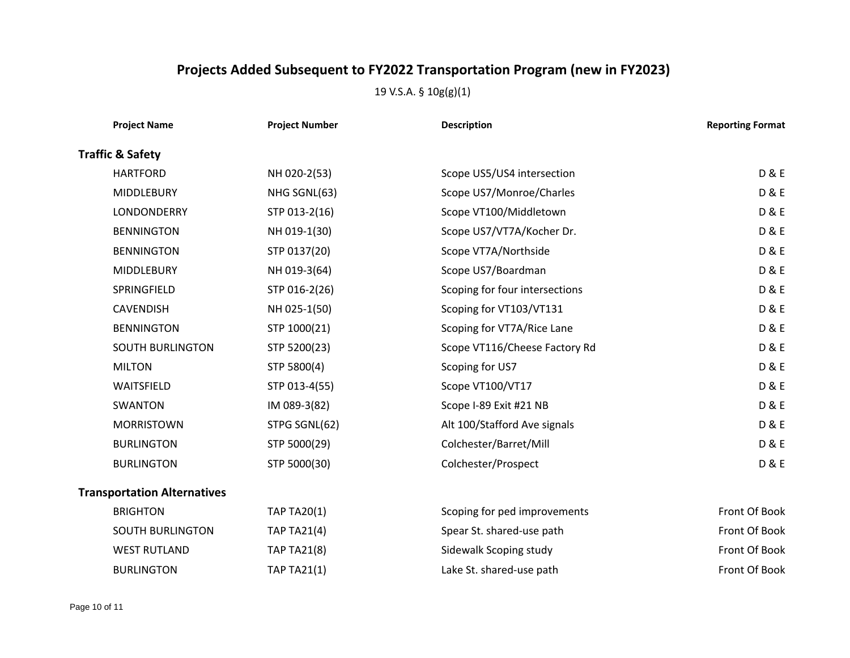| <b>Project Name</b>                | <b>Project Number</b> | <b>Description</b>             | <b>Reporting Format</b> |
|------------------------------------|-----------------------|--------------------------------|-------------------------|
| <b>Traffic &amp; Safety</b>        |                       |                                |                         |
| <b>HARTFORD</b>                    | NH 020-2(53)          | Scope US5/US4 intersection     | <b>D&amp;E</b>          |
| <b>MIDDLEBURY</b>                  | NHG SGNL(63)          | Scope US7/Monroe/Charles       | <b>D&amp;E</b>          |
| LONDONDERRY                        | STP 013-2(16)         | Scope VT100/Middletown         | <b>D&amp;E</b>          |
| <b>BENNINGTON</b>                  | NH 019-1(30)          | Scope US7/VT7A/Kocher Dr.      | <b>D&amp;E</b>          |
| <b>BENNINGTON</b>                  | STP 0137(20)          | Scope VT7A/Northside           | <b>D&amp;E</b>          |
| <b>MIDDLEBURY</b>                  | NH 019-3(64)          | Scope US7/Boardman             | <b>D&amp;E</b>          |
| SPRINGFIELD                        | STP 016-2(26)         | Scoping for four intersections | <b>D&amp;E</b>          |
| <b>CAVENDISH</b>                   | NH 025-1(50)          | Scoping for VT103/VT131        | <b>D&amp;E</b>          |
| <b>BENNINGTON</b>                  | STP 1000(21)          | Scoping for VT7A/Rice Lane     | <b>D&amp;E</b>          |
| <b>SOUTH BURLINGTON</b>            | STP 5200(23)          | Scope VT116/Cheese Factory Rd  | <b>D&amp;E</b>          |
| <b>MILTON</b>                      | STP 5800(4)           | Scoping for US7                | <b>D&amp;E</b>          |
| WAITSFIELD                         | STP 013-4(55)         | Scope VT100/VT17               | <b>D&amp;E</b>          |
| <b>SWANTON</b>                     | IM 089-3(82)          | Scope I-89 Exit #21 NB         | <b>D&amp;E</b>          |
| <b>MORRISTOWN</b>                  | STPG SGNL(62)         | Alt 100/Stafford Ave signals   | <b>D&amp;E</b>          |
| <b>BURLINGTON</b>                  | STP 5000(29)          | Colchester/Barret/Mill         | <b>D&amp;E</b>          |
| <b>BURLINGTON</b>                  | STP 5000(30)          | Colchester/Prospect            | <b>D&amp;E</b>          |
| <b>Transportation Alternatives</b> |                       |                                |                         |
| <b>BRIGHTON</b>                    | <b>TAP TA20(1)</b>    | Scoping for ped improvements   | Front Of Book           |
| <b>SOUTH BURLINGTON</b>            | <b>TAP TA21(4)</b>    | Spear St. shared-use path      | Front Of Book           |
| <b>WEST RUTLAND</b>                | <b>TAP TA21(8)</b>    | Sidewalk Scoping study         | Front Of Book           |
| <b>BURLINGTON</b>                  | <b>TAP TA21(1)</b>    | Lake St. shared-use path       | Front Of Book           |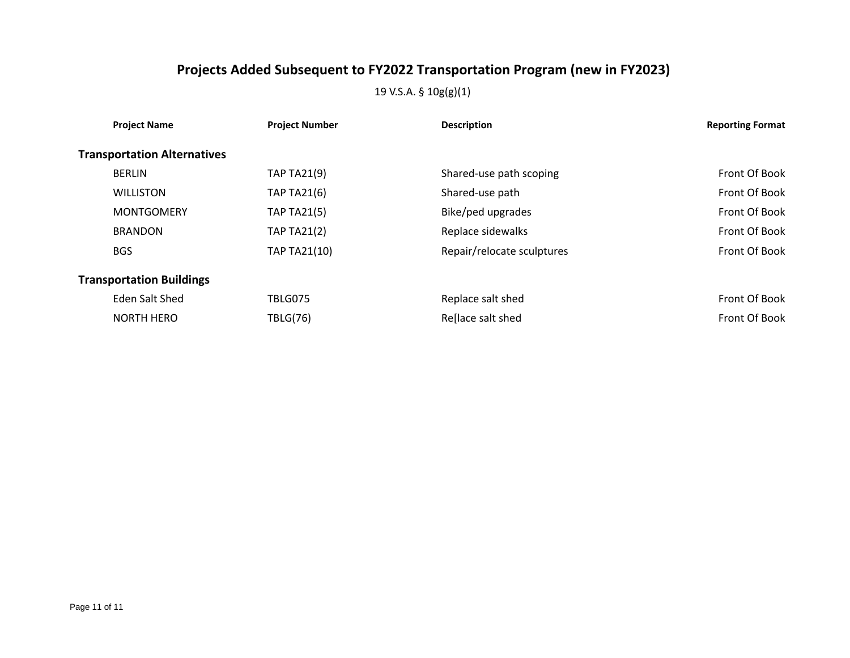| <b>Project Name</b>                | <b>Project Number</b> | <b>Description</b>         | <b>Reporting Format</b> |
|------------------------------------|-----------------------|----------------------------|-------------------------|
| <b>Transportation Alternatives</b> |                       |                            |                         |
| <b>BERLIN</b>                      | <b>TAP TA21(9)</b>    | Shared-use path scoping    | Front Of Book           |
| <b>WILLISTON</b>                   | <b>TAP TA21(6)</b>    | Shared-use path            | Front Of Book           |
| <b>MONTGOMERY</b>                  | <b>TAP TA21(5)</b>    | Bike/ped upgrades          | Front Of Book           |
| <b>BRANDON</b>                     | <b>TAP TA21(2)</b>    | Replace sidewalks          | Front Of Book           |
| <b>BGS</b>                         | <b>TAP TA21(10)</b>   | Repair/relocate sculptures | Front Of Book           |
| <b>Transportation Buildings</b>    |                       |                            |                         |
| Eden Salt Shed                     | TBLG075               | Replace salt shed          | Front Of Book           |
| <b>NORTH HERO</b>                  | <b>TBLG(76)</b>       | Reflace salt shed          | Front Of Book           |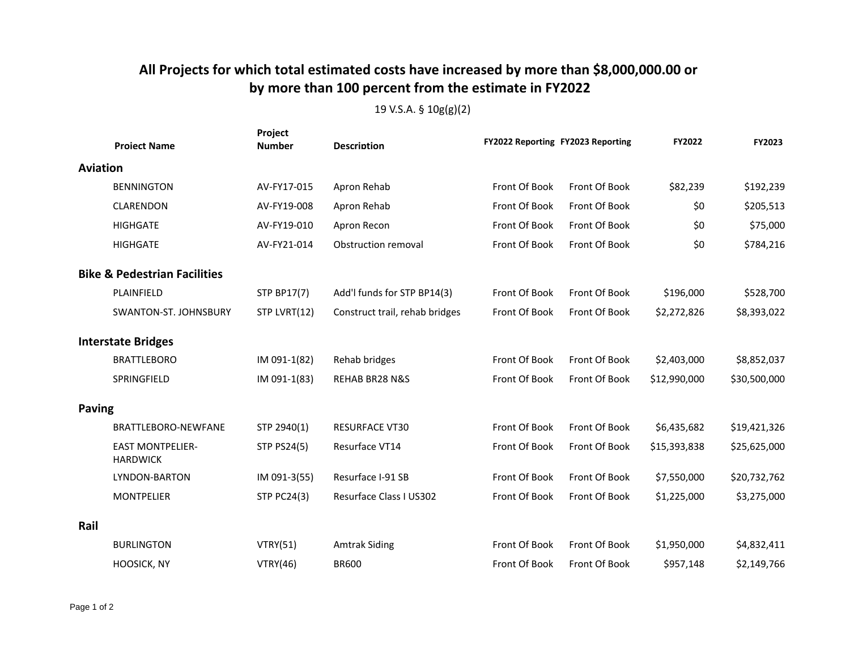### **All Projects for which total estimated costs have increased by more than \$8,000,000.00 or by more than 100 percent from the estimate in FY2022**

|                 | <b>Project Name</b>                        | Project<br><b>Number</b> | <b>Description</b>             | FY2022 Reporting FY2023 Reporting |               | FY2022       | FY2023       |
|-----------------|--------------------------------------------|--------------------------|--------------------------------|-----------------------------------|---------------|--------------|--------------|
| <b>Aviation</b> |                                            |                          |                                |                                   |               |              |              |
|                 | <b>BENNINGTON</b>                          | AV-FY17-015              | Apron Rehab                    | Front Of Book                     | Front Of Book | \$82,239     | \$192,239    |
|                 | CLARENDON                                  | AV-FY19-008              | Apron Rehab                    | Front Of Book                     | Front Of Book | \$0          | \$205,513    |
|                 | <b>HIGHGATE</b>                            | AV-FY19-010              | Apron Recon                    | Front Of Book                     | Front Of Book | \$0          | \$75,000     |
|                 | <b>HIGHGATE</b>                            | AV-FY21-014              | Obstruction removal            | Front Of Book                     | Front Of Book | \$0          | \$784,216    |
|                 | <b>Bike &amp; Pedestrian Facilities</b>    |                          |                                |                                   |               |              |              |
|                 | PLAINFIELD                                 | <b>STP BP17(7)</b>       | Add'l funds for STP BP14(3)    | Front Of Book                     | Front Of Book | \$196,000    | \$528,700    |
|                 | SWANTON-ST. JOHNSBURY                      | STP LVRT(12)             | Construct trail, rehab bridges | Front Of Book                     | Front Of Book | \$2,272,826  | \$8,393,022  |
|                 | <b>Interstate Bridges</b>                  |                          |                                |                                   |               |              |              |
|                 | <b>BRATTLEBORO</b>                         | IM 091-1(82)             | Rehab bridges                  | Front Of Book                     | Front Of Book | \$2,403,000  | \$8,852,037  |
|                 | SPRINGFIELD                                | IM 091-1(83)             | REHAB BR28 N&S                 | Front Of Book                     | Front Of Book | \$12,990,000 | \$30,500,000 |
| <b>Paving</b>   |                                            |                          |                                |                                   |               |              |              |
|                 | BRATTLEBORO-NEWFANE                        | STP 2940(1)              | <b>RESURFACE VT30</b>          | Front Of Book                     | Front Of Book | \$6,435,682  | \$19,421,326 |
|                 | <b>EAST MONTPELIER-</b><br><b>HARDWICK</b> | <b>STP PS24(5)</b>       | Resurface VT14                 | Front Of Book                     | Front Of Book | \$15,393,838 | \$25,625,000 |
|                 | <b>LYNDON-BARTON</b>                       | IM 091-3(55)             | Resurface I-91 SB              | Front Of Book                     | Front Of Book | \$7,550,000  | \$20,732,762 |
|                 | <b>MONTPELIER</b>                          | <b>STP PC24(3)</b>       | Resurface Class I US302        | Front Of Book                     | Front Of Book | \$1,225,000  | \$3,275,000  |
| Rail            |                                            |                          |                                |                                   |               |              |              |
|                 | <b>BURLINGTON</b>                          | VTRY(51)                 | <b>Amtrak Siding</b>           | Front Of Book                     | Front Of Book | \$1,950,000  | \$4,832,411  |
|                 | HOOSICK, NY                                | VTRY(46)                 | <b>BR600</b>                   | Front Of Book                     | Front Of Book | \$957,148    | \$2,149,766  |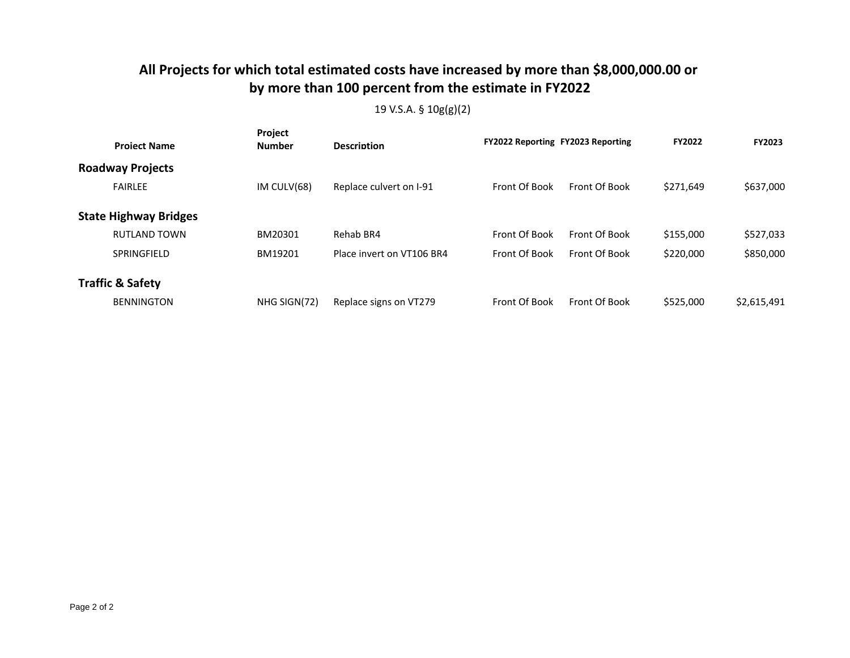### **All Projects for which total estimated costs have increased by more than \$8,000,000.00 or by more than 100 percent from the estimate in FY2022**

| <b>Project Name</b>          | Project<br><b>Number</b> | <b>Description</b>        | FY2022 Reporting FY2023 Reporting |               | <b>FY2022</b> | <b>FY2023</b> |
|------------------------------|--------------------------|---------------------------|-----------------------------------|---------------|---------------|---------------|
| <b>Roadway Projects</b>      |                          |                           |                                   |               |               |               |
| <b>FAIRLEE</b>               | IM CULV(68)              | Replace culvert on I-91   | Front Of Book                     | Front Of Book | \$271,649     | \$637,000     |
| <b>State Highway Bridges</b> |                          |                           |                                   |               |               |               |
| <b>RUTLAND TOWN</b>          | BM20301                  | Rehab BR4                 | Front Of Book                     | Front Of Book | \$155,000     | \$527,033     |
| SPRINGFIELD                  | BM19201                  | Place invert on VT106 BR4 | Front Of Book                     | Front Of Book | \$220,000     | \$850,000     |
| <b>Traffic &amp; Safety</b>  |                          |                           |                                   |               |               |               |
| <b>BENNINGTON</b>            | NHG SIGN(72)             | Replace signs on VT279    | Front Of Book                     | Front Of Book | \$525,000     | \$2,615,491   |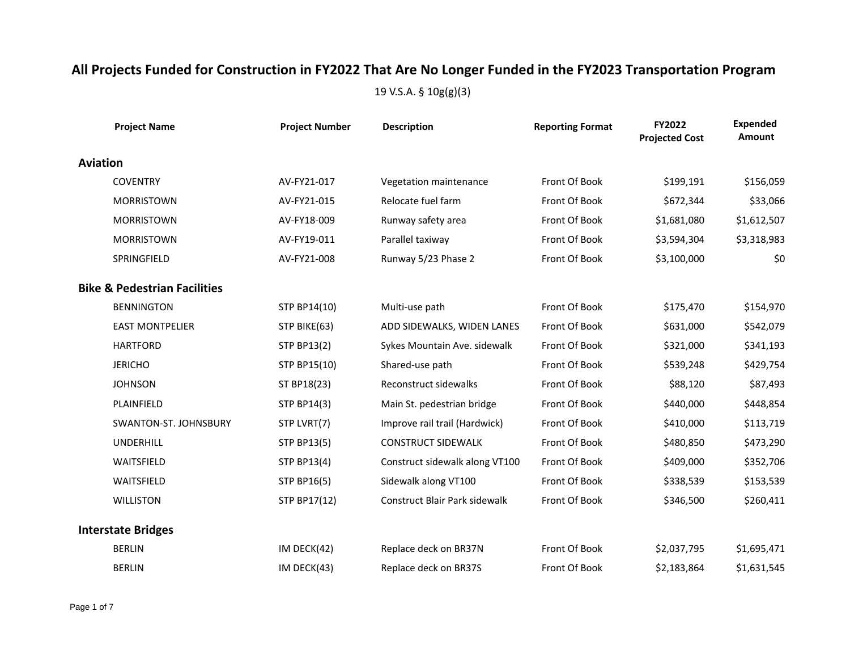|                 | <b>Project Name</b>                     | <b>Project Number</b> | <b>Description</b>                   | <b>Reporting Format</b> | FY2022<br><b>Projected Cost</b> | <b>Expended</b><br>Amount |
|-----------------|-----------------------------------------|-----------------------|--------------------------------------|-------------------------|---------------------------------|---------------------------|
| <b>Aviation</b> |                                         |                       |                                      |                         |                                 |                           |
|                 | <b>COVENTRY</b>                         | AV-FY21-017           | Vegetation maintenance               | Front Of Book           | \$199,191                       | \$156,059                 |
|                 | <b>MORRISTOWN</b>                       | AV-FY21-015           | Relocate fuel farm                   | Front Of Book           | \$672,344                       | \$33,066                  |
|                 | <b>MORRISTOWN</b>                       | AV-FY18-009           | Runway safety area                   | Front Of Book           | \$1,681,080                     | \$1,612,507               |
|                 | <b>MORRISTOWN</b>                       | AV-FY19-011           | Parallel taxiway                     | Front Of Book           | \$3,594,304                     | \$3,318,983               |
|                 | SPRINGFIELD                             | AV-FY21-008           | Runway 5/23 Phase 2                  | Front Of Book           | \$3,100,000                     | \$0                       |
|                 | <b>Bike &amp; Pedestrian Facilities</b> |                       |                                      |                         |                                 |                           |
|                 | <b>BENNINGTON</b>                       | STP BP14(10)          | Multi-use path                       | Front Of Book           | \$175,470                       | \$154,970                 |
|                 | <b>EAST MONTPELIER</b>                  | STP BIKE(63)          | ADD SIDEWALKS, WIDEN LANES           | Front Of Book           | \$631,000                       | \$542,079                 |
|                 | <b>HARTFORD</b>                         | <b>STP BP13(2)</b>    | Sykes Mountain Ave. sidewalk         | Front Of Book           | \$321,000                       | \$341,193                 |
|                 | <b>JERICHO</b>                          | STP BP15(10)          | Shared-use path                      | Front Of Book           | \$539,248                       | \$429,754                 |
|                 | <b>JOHNSON</b>                          | ST BP18(23)           | Reconstruct sidewalks                | Front Of Book           | \$88,120                        | \$87,493                  |
|                 | PLAINFIELD                              | <b>STP BP14(3)</b>    | Main St. pedestrian bridge           | Front Of Book           | \$440,000                       | \$448,854                 |
|                 | SWANTON-ST. JOHNSBURY                   | STP LVRT(7)           | Improve rail trail (Hardwick)        | Front Of Book           | \$410,000                       | \$113,719                 |
|                 | <b>UNDERHILL</b>                        | <b>STP BP13(5)</b>    | <b>CONSTRUCT SIDEWALK</b>            | Front Of Book           | \$480,850                       | \$473,290                 |
|                 | WAITSFIELD                              | <b>STP BP13(4)</b>    | Construct sidewalk along VT100       | Front Of Book           | \$409,000                       | \$352,706                 |
|                 | WAITSFIELD                              | <b>STP BP16(5)</b>    | Sidewalk along VT100                 | Front Of Book           | \$338,539                       | \$153,539                 |
|                 | <b>WILLISTON</b>                        | STP BP17(12)          | <b>Construct Blair Park sidewalk</b> | Front Of Book           | \$346,500                       | \$260,411                 |
|                 | <b>Interstate Bridges</b>               |                       |                                      |                         |                                 |                           |
|                 | <b>BERLIN</b>                           | IM DECK(42)           | Replace deck on BR37N                | Front Of Book           | \$2,037,795                     | \$1,695,471               |
|                 | <b>BERLIN</b>                           | IM DECK(43)           | Replace deck on BR37S                | Front Of Book           | \$2,183,864                     | \$1,631,545               |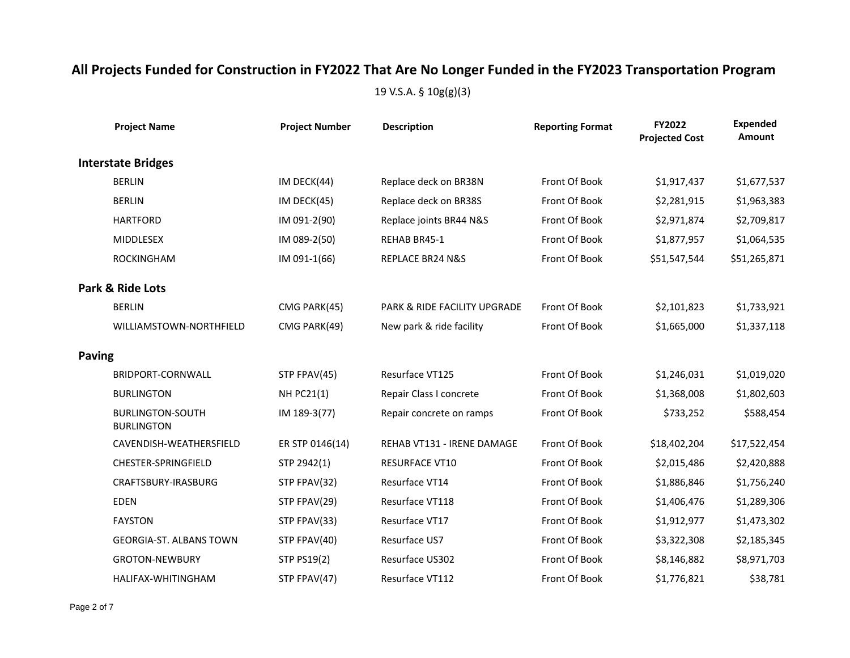|               | <b>Project Name</b>                          | <b>Project Number</b> | <b>Description</b>           | <b>Reporting Format</b> | FY2022<br><b>Projected Cost</b> | <b>Expended</b><br>Amount |
|---------------|----------------------------------------------|-----------------------|------------------------------|-------------------------|---------------------------------|---------------------------|
|               | <b>Interstate Bridges</b>                    |                       |                              |                         |                                 |                           |
|               | <b>BERLIN</b>                                | IM DECK(44)           | Replace deck on BR38N        | Front Of Book           | \$1,917,437                     | \$1,677,537               |
|               | <b>BERLIN</b>                                | IM DECK(45)           | Replace deck on BR38S        | Front Of Book           | \$2,281,915                     | \$1,963,383               |
|               | <b>HARTFORD</b>                              | IM 091-2(90)          | Replace joints BR44 N&S      | Front Of Book           | \$2,971,874                     | \$2,709,817               |
|               | <b>MIDDLESEX</b>                             | IM 089-2(50)          | REHAB BR45-1                 | Front Of Book           | \$1,877,957                     | \$1,064,535               |
|               | ROCKINGHAM                                   | IM 091-1(66)          | REPLACE BR24 N&S             | Front Of Book           | \$51,547,544                    | \$51,265,871              |
|               | <b>Park &amp; Ride Lots</b>                  |                       |                              |                         |                                 |                           |
|               | <b>BERLIN</b>                                | CMG PARK(45)          | PARK & RIDE FACILITY UPGRADE | Front Of Book           | \$2,101,823                     | \$1,733,921               |
|               | WILLIAMSTOWN-NORTHFIELD                      | CMG PARK(49)          | New park & ride facility     | Front Of Book           | \$1,665,000                     | \$1,337,118               |
| <b>Paving</b> |                                              |                       |                              |                         |                                 |                           |
|               | BRIDPORT-CORNWALL                            | STP FPAV(45)          | Resurface VT125              | Front Of Book           | \$1,246,031                     | \$1,019,020               |
|               | <b>BURLINGTON</b>                            | <b>NH PC21(1)</b>     | Repair Class I concrete      | Front Of Book           | \$1,368,008                     | \$1,802,603               |
|               | <b>BURLINGTON-SOUTH</b><br><b>BURLINGTON</b> | IM 189-3(77)          | Repair concrete on ramps     | Front Of Book           | \$733,252                       | \$588,454                 |
|               | CAVENDISH-WEATHERSFIELD                      | ER STP 0146(14)       | REHAB VT131 - IRENE DAMAGE   | Front Of Book           | \$18,402,204                    | \$17,522,454              |
|               | CHESTER-SPRINGFIELD                          | STP 2942(1)           | <b>RESURFACE VT10</b>        | Front Of Book           | \$2,015,486                     | \$2,420,888               |
|               | CRAFTSBURY-IRASBURG                          | STP FPAV(32)          | Resurface VT14               | Front Of Book           | \$1,886,846                     | \$1,756,240               |
|               | <b>EDEN</b>                                  | STP FPAV(29)          | Resurface VT118              | Front Of Book           | \$1,406,476                     | \$1,289,306               |
|               | <b>FAYSTON</b>                               | STP FPAV(33)          | Resurface VT17               | Front Of Book           | \$1,912,977                     | \$1,473,302               |
|               | <b>GEORGIA-ST. ALBANS TOWN</b>               | STP FPAV(40)          | Resurface US7                | Front Of Book           | \$3,322,308                     | \$2,185,345               |
|               | <b>GROTON-NEWBURY</b>                        | <b>STP PS19(2)</b>    | Resurface US302              | Front Of Book           | \$8,146,882                     | \$8,971,703               |
|               | HALIFAX-WHITINGHAM                           | STP FPAV(47)          | Resurface VT112              | Front Of Book           | \$1,776,821                     | \$38,781                  |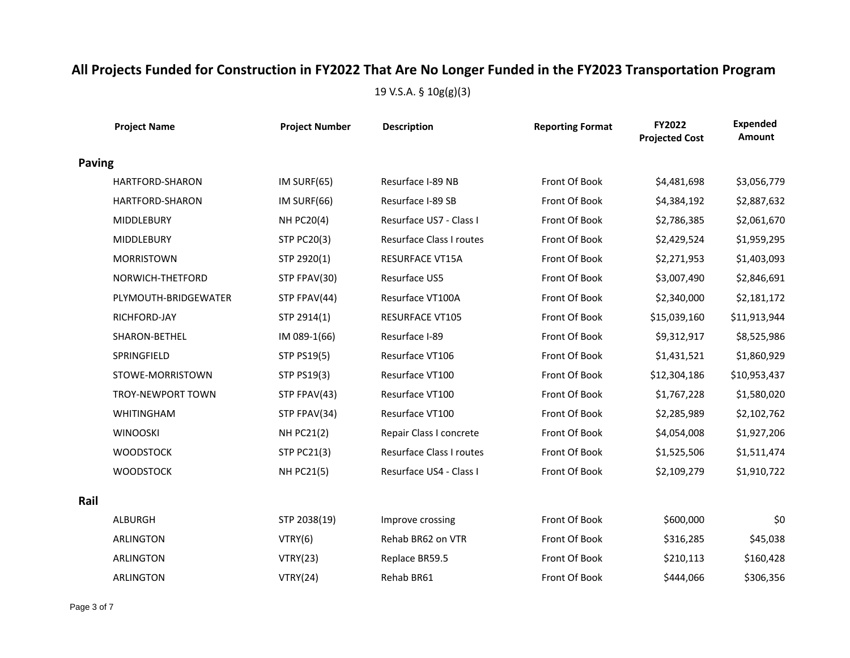|               | <b>Project Name</b>      | <b>Project Number</b> | <b>Description</b>       | <b>Reporting Format</b> | FY2022<br><b>Projected Cost</b> | <b>Expended</b><br>Amount |
|---------------|--------------------------|-----------------------|--------------------------|-------------------------|---------------------------------|---------------------------|
| <b>Paving</b> |                          |                       |                          |                         |                                 |                           |
|               | <b>HARTFORD-SHARON</b>   | IM SURF(65)           | Resurface I-89 NB        | Front Of Book           | \$4,481,698                     | \$3,056,779               |
|               | HARTFORD-SHARON          | IM SURF(66)           | Resurface I-89 SB        | Front Of Book           | \$4,384,192                     | \$2,887,632               |
|               | <b>MIDDLEBURY</b>        | <b>NH PC20(4)</b>     | Resurface US7 - Class I  | Front Of Book           | \$2,786,385                     | \$2,061,670               |
|               | <b>MIDDLEBURY</b>        | <b>STP PC20(3)</b>    | Resurface Class I routes | Front Of Book           | \$2,429,524                     | \$1,959,295               |
|               | <b>MORRISTOWN</b>        | STP 2920(1)           | <b>RESURFACE VT15A</b>   | Front Of Book           | \$2,271,953                     | \$1,403,093               |
|               | NORWICH-THETFORD         | STP FPAV(30)          | Resurface US5            | Front Of Book           | \$3,007,490                     | \$2,846,691               |
|               | PLYMOUTH-BRIDGEWATER     | STP FPAV(44)          | Resurface VT100A         | Front Of Book           | \$2,340,000                     | \$2,181,172               |
|               | RICHFORD-JAY             | STP 2914(1)           | <b>RESURFACE VT105</b>   | Front Of Book           | \$15,039,160                    | \$11,913,944              |
|               | SHARON-BETHEL            | IM 089-1(66)          | Resurface I-89           | Front Of Book           | \$9,312,917                     | \$8,525,986               |
|               | SPRINGFIELD              | <b>STP PS19(5)</b>    | Resurface VT106          | Front Of Book           | \$1,431,521                     | \$1,860,929               |
|               | STOWE-MORRISTOWN         | STP PS19(3)           | Resurface VT100          | Front Of Book           | \$12,304,186                    | \$10,953,437              |
|               | <b>TROY-NEWPORT TOWN</b> | STP FPAV(43)          | Resurface VT100          | Front Of Book           | \$1,767,228                     | \$1,580,020               |
|               | <b>WHITINGHAM</b>        | STP FPAV(34)          | Resurface VT100          | Front Of Book           | \$2,285,989                     | \$2,102,762               |
|               | <b>WINOOSKI</b>          | <b>NH PC21(2)</b>     | Repair Class I concrete  | Front Of Book           | \$4,054,008                     | \$1,927,206               |
|               | <b>WOODSTOCK</b>         | <b>STP PC21(3)</b>    | Resurface Class I routes | Front Of Book           | \$1,525,506                     | \$1,511,474               |
|               | <b>WOODSTOCK</b>         | <b>NH PC21(5)</b>     | Resurface US4 - Class I  | Front Of Book           | \$2,109,279                     | \$1,910,722               |
| Rail          |                          |                       |                          |                         |                                 |                           |
|               | <b>ALBURGH</b>           | STP 2038(19)          | Improve crossing         | Front Of Book           | \$600,000                       | \$0                       |
|               | <b>ARLINGTON</b>         | VTRY(6)               | Rehab BR62 on VTR        | Front Of Book           | \$316,285                       | \$45,038                  |
|               | ARLINGTON                | VTRY(23)              | Replace BR59.5           | Front Of Book           | \$210,113                       | \$160,428                 |
|               | <b>ARLINGTON</b>         | <b>VTRY(24)</b>       | Rehab BR61               | Front Of Book           | \$444,066                       | \$306,356                 |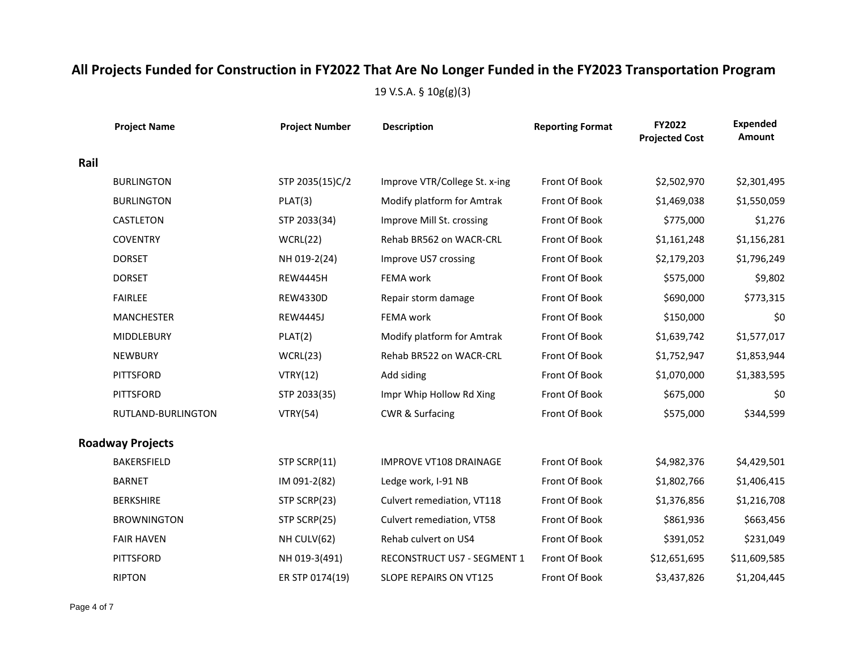|      | <b>Project Name</b>     | <b>Project Number</b> | <b>Description</b>            | <b>Reporting Format</b> | FY2022<br><b>Projected Cost</b> | <b>Expended</b><br>Amount |
|------|-------------------------|-----------------------|-------------------------------|-------------------------|---------------------------------|---------------------------|
| Rail |                         |                       |                               |                         |                                 |                           |
|      | <b>BURLINGTON</b>       | STP 2035(15)C/2       | Improve VTR/College St. x-ing | Front Of Book           | \$2,502,970                     | \$2,301,495               |
|      | <b>BURLINGTON</b>       | PLAT(3)               | Modify platform for Amtrak    | Front Of Book           | \$1,469,038                     | \$1,550,059               |
|      | <b>CASTLETON</b>        | STP 2033(34)          | Improve Mill St. crossing     | Front Of Book           | \$775,000                       | \$1,276                   |
|      | <b>COVENTRY</b>         | WCRL(22)              | Rehab BR562 on WACR-CRL       | Front Of Book           | \$1,161,248                     | \$1,156,281               |
|      | <b>DORSET</b>           | NH 019-2(24)          | Improve US7 crossing          | Front Of Book           | \$2,179,203                     | \$1,796,249               |
|      | <b>DORSET</b>           | <b>REW4445H</b>       | FEMA work                     | Front Of Book           | \$575,000                       | \$9,802                   |
|      | <b>FAIRLEE</b>          | <b>REW4330D</b>       | Repair storm damage           | Front Of Book           | \$690,000                       | \$773,315                 |
|      | <b>MANCHESTER</b>       | <b>REW4445J</b>       | FEMA work                     | Front Of Book           | \$150,000                       | \$0                       |
|      | <b>MIDDLEBURY</b>       | PLAT(2)               | Modify platform for Amtrak    | Front Of Book           | \$1,639,742                     | \$1,577,017               |
|      | <b>NEWBURY</b>          | WCRL(23)              | Rehab BR522 on WACR-CRL       | Front Of Book           | \$1,752,947                     | \$1,853,944               |
|      | <b>PITTSFORD</b>        | VTRY(12)              | Add siding                    | Front Of Book           | \$1,070,000                     | \$1,383,595               |
|      | PITTSFORD               | STP 2033(35)          | Impr Whip Hollow Rd Xing      | Front Of Book           | \$675,000                       | \$0                       |
|      | RUTLAND-BURLINGTON      | <b>VTRY(54)</b>       | <b>CWR &amp; Surfacing</b>    | Front Of Book           | \$575,000                       | \$344,599                 |
|      | <b>Roadway Projects</b> |                       |                               |                         |                                 |                           |
|      | <b>BAKERSFIELD</b>      | STP SCRP(11)          | <b>IMPROVE VT108 DRAINAGE</b> | Front Of Book           | \$4,982,376                     | \$4,429,501               |
|      | <b>BARNET</b>           | IM 091-2(82)          | Ledge work, I-91 NB           | Front Of Book           | \$1,802,766                     | \$1,406,415               |
|      | <b>BERKSHIRE</b>        | STP SCRP(23)          | Culvert remediation, VT118    | Front Of Book           | \$1,376,856                     | \$1,216,708               |
|      | <b>BROWNINGTON</b>      | STP SCRP(25)          | Culvert remediation, VT58     | Front Of Book           | \$861,936                       | \$663,456                 |
|      | <b>FAIR HAVEN</b>       | NH CULV(62)           | Rehab culvert on US4          | Front Of Book           | \$391,052                       | \$231,049                 |
|      | PITTSFORD               | NH 019-3(491)         | RECONSTRUCT US7 - SEGMENT 1   | Front Of Book           | \$12,651,695                    | \$11,609,585              |
|      | <b>RIPTON</b>           | ER STP 0174(19)       | SLOPE REPAIRS ON VT125        | Front Of Book           | \$3,437,826                     | \$1,204,445               |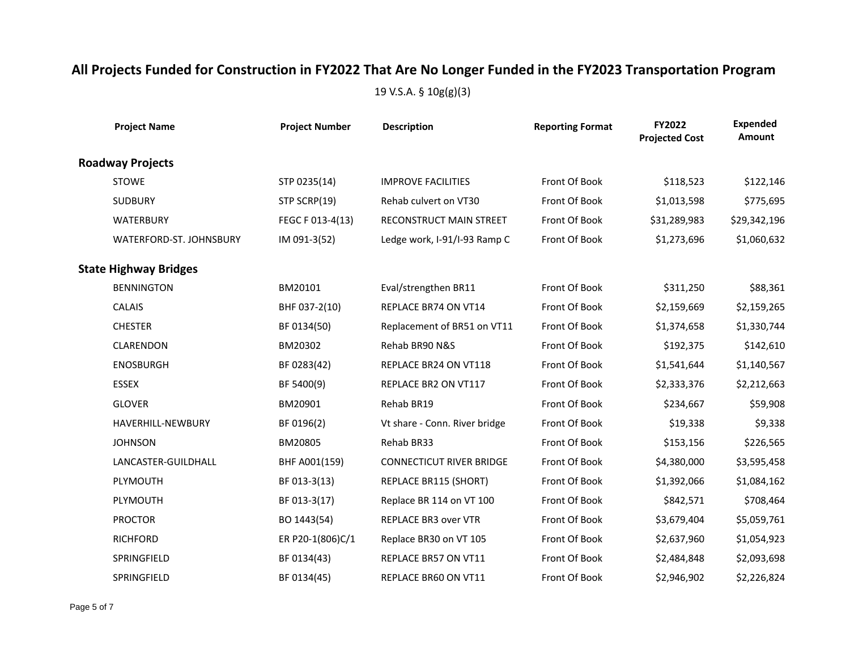| <b>Project Name</b>            | <b>Project Number</b> | <b>Description</b>              | <b>Reporting Format</b> | FY2022<br><b>Projected Cost</b> | <b>Expended</b><br>Amount |
|--------------------------------|-----------------------|---------------------------------|-------------------------|---------------------------------|---------------------------|
| <b>Roadway Projects</b>        |                       |                                 |                         |                                 |                           |
| <b>STOWE</b>                   | STP 0235(14)          | <b>IMPROVE FACILITIES</b>       | Front Of Book           | \$118,523                       | \$122,146                 |
| <b>SUDBURY</b>                 | STP SCRP(19)          | Rehab culvert on VT30           | Front Of Book           | \$1,013,598                     | \$775,695                 |
| <b>WATERBURY</b>               | FEGC F 013-4(13)      | RECONSTRUCT MAIN STREET         | Front Of Book           | \$31,289,983                    | \$29,342,196              |
| <b>WATERFORD-ST, JOHNSBURY</b> | IM 091-3(52)          | Ledge work, I-91/I-93 Ramp C    | Front Of Book           | \$1,273,696                     | \$1,060,632               |
| <b>State Highway Bridges</b>   |                       |                                 |                         |                                 |                           |
| <b>BENNINGTON</b>              | BM20101               | Eval/strengthen BR11            | Front Of Book           | \$311,250                       | \$88,361                  |
| <b>CALAIS</b>                  | BHF 037-2(10)         | REPLACE BR74 ON VT14            | Front Of Book           | \$2,159,669                     | \$2,159,265               |
| <b>CHESTER</b>                 | BF 0134(50)           | Replacement of BR51 on VT11     | Front Of Book           | \$1,374,658                     | \$1,330,744               |
| CLARENDON                      | BM20302               | Rehab BR90 N&S                  | Front Of Book           | \$192,375                       | \$142,610                 |
| <b>ENOSBURGH</b>               | BF 0283(42)           | REPLACE BR24 ON VT118           | Front Of Book           | \$1,541,644                     | \$1,140,567               |
| <b>ESSEX</b>                   | BF 5400(9)            | REPLACE BR2 ON VT117            | Front Of Book           | \$2,333,376                     | \$2,212,663               |
| <b>GLOVER</b>                  | BM20901               | Rehab BR19                      | Front Of Book           | \$234,667                       | \$59,908                  |
| HAVERHILL-NEWBURY              | BF 0196(2)            | Vt share - Conn. River bridge   | Front Of Book           | \$19,338                        | \$9,338                   |
| <b>JOHNSON</b>                 | BM20805               | Rehab BR33                      | Front Of Book           | \$153,156                       | \$226,565                 |
| LANCASTER-GUILDHALL            | BHF A001(159)         | <b>CONNECTICUT RIVER BRIDGE</b> | Front Of Book           | \$4,380,000                     | \$3,595,458               |
| PLYMOUTH                       | BF 013-3(13)          | REPLACE BR115 (SHORT)           | Front Of Book           | \$1,392,066                     | \$1,084,162               |
| PLYMOUTH                       | BF 013-3(17)          | Replace BR 114 on VT 100        | Front Of Book           | \$842,571                       | \$708,464                 |
| <b>PROCTOR</b>                 | BO 1443(54)           | <b>REPLACE BR3 over VTR</b>     | Front Of Book           | \$3,679,404                     | \$5,059,761               |
| <b>RICHFORD</b>                | ER P20-1(806)C/1      | Replace BR30 on VT 105          | Front Of Book           | \$2,637,960                     | \$1,054,923               |
| SPRINGFIELD                    | BF 0134(43)           | REPLACE BR57 ON VT11            | Front Of Book           | \$2,484,848                     | \$2,093,698               |
| SPRINGFIELD                    | BF 0134(45)           | REPLACE BR60 ON VT11            | Front Of Book           | \$2,946,902                     | \$2,226,824               |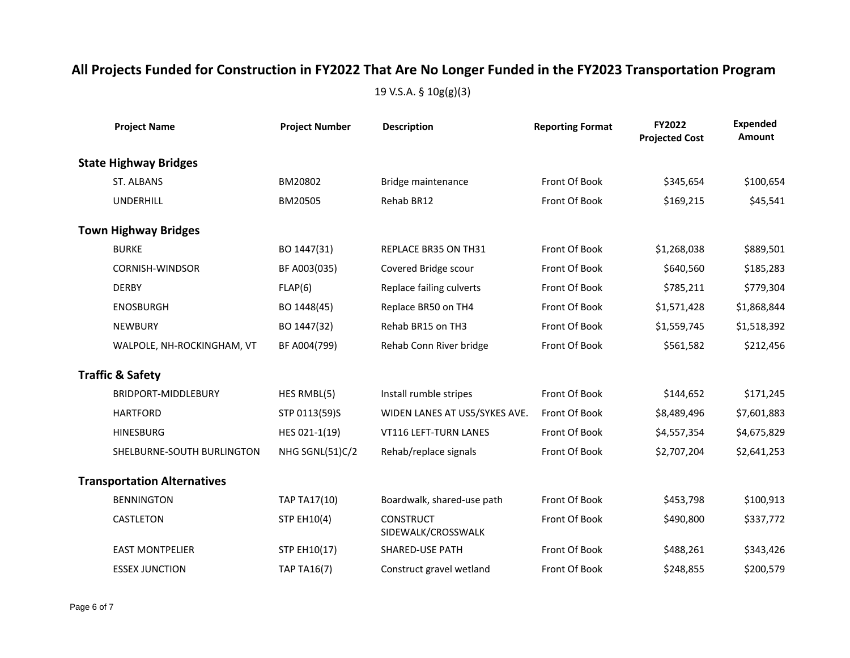| <b>Project Name</b>                | <b>Project Number</b> | <b>Description</b>                     | <b>Reporting Format</b> | FY2022<br><b>Projected Cost</b> | <b>Expended</b><br>Amount |
|------------------------------------|-----------------------|----------------------------------------|-------------------------|---------------------------------|---------------------------|
| <b>State Highway Bridges</b>       |                       |                                        |                         |                                 |                           |
| ST. ALBANS                         | BM20802               | Bridge maintenance                     | Front Of Book           | \$345,654                       | \$100,654                 |
| <b>UNDERHILL</b>                   | BM20505               | Rehab BR12                             | Front Of Book           | \$169,215                       | \$45,541                  |
| <b>Town Highway Bridges</b>        |                       |                                        |                         |                                 |                           |
| <b>BURKE</b>                       | BO 1447(31)           | REPLACE BR35 ON TH31                   | Front Of Book           | \$1,268,038                     | \$889,501                 |
| <b>CORNISH-WINDSOR</b>             | BF A003(035)          | Covered Bridge scour                   | Front Of Book           | \$640,560                       | \$185,283                 |
| <b>DERBY</b>                       | FLAP(6)               | Replace failing culverts               | Front Of Book           | \$785,211                       | \$779,304                 |
| <b>ENOSBURGH</b>                   | BO 1448(45)           | Replace BR50 on TH4                    | Front Of Book           | \$1,571,428                     | \$1,868,844               |
| <b>NEWBURY</b>                     | BO 1447(32)           | Rehab BR15 on TH3                      | Front Of Book           | \$1,559,745                     | \$1,518,392               |
| WALPOLE, NH-ROCKINGHAM, VT         | BF A004(799)          | Rehab Conn River bridge                | Front Of Book           | \$561,582                       | \$212,456                 |
| <b>Traffic &amp; Safety</b>        |                       |                                        |                         |                                 |                           |
| BRIDPORT-MIDDLEBURY                | HES RMBL(5)           | Install rumble stripes                 | Front Of Book           | \$144,652                       | \$171,245                 |
| <b>HARTFORD</b>                    | STP 0113(59)S         | WIDEN LANES AT US5/SYKES AVE.          | Front Of Book           | \$8,489,496                     | \$7,601,883               |
| <b>HINESBURG</b>                   | HES 021-1(19)         | VT116 LEFT-TURN LANES                  | Front Of Book           | \$4,557,354                     | \$4,675,829               |
| SHELBURNE-SOUTH BURLINGTON         | NHG SGNL(51)C/2       | Rehab/replace signals                  | Front Of Book           | \$2,707,204                     | \$2,641,253               |
| <b>Transportation Alternatives</b> |                       |                                        |                         |                                 |                           |
| <b>BENNINGTON</b>                  | TAP TA17(10)          | Boardwalk, shared-use path             | Front Of Book           | \$453,798                       | \$100,913                 |
| CASTLETON                          | <b>STP EH10(4)</b>    | <b>CONSTRUCT</b><br>SIDEWALK/CROSSWALK | Front Of Book           | \$490,800                       | \$337,772                 |
| <b>EAST MONTPELIER</b>             | STP EH10(17)          | <b>SHARED-USE PATH</b>                 | Front Of Book           | \$488,261                       | \$343,426                 |
| <b>ESSEX JUNCTION</b>              | <b>TAP TA16(7)</b>    | Construct gravel wetland               | Front Of Book           | \$248,855                       | \$200,579                 |